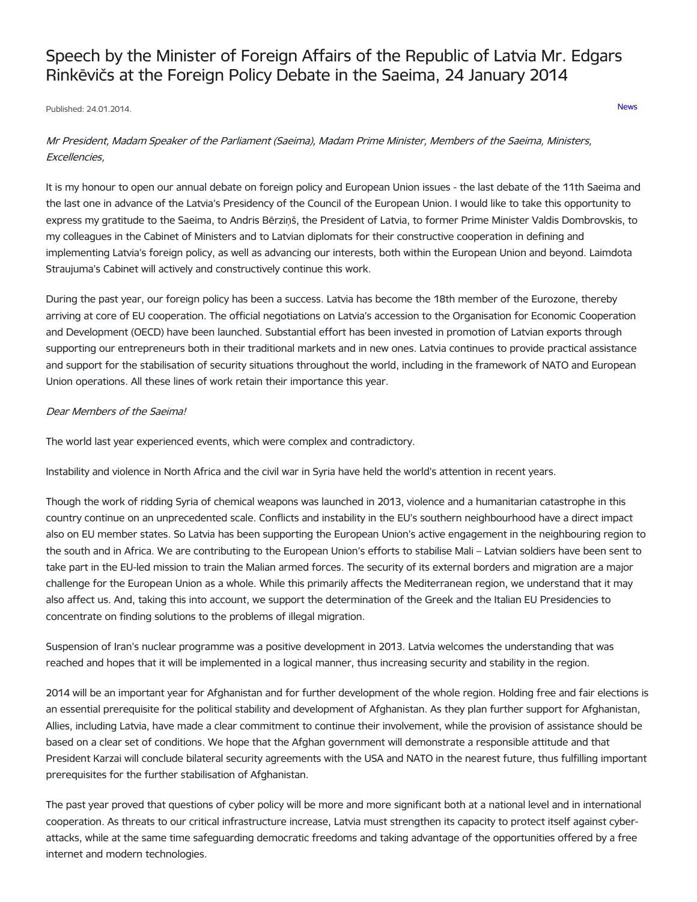# Speech by the Minister of Foreign Affairs of the Republic of Latvia Mr. Edgars Rinkēvičs at the Foreign Policy Debate in the Saeima, 24 January 2014

Published: 24.01.2014. [News](https://www.mfa.gov.lv/en/articles?category%255B253%255D=253)

# Mr President, Madam Speaker of the Parliament (Saeima), Madam Prime Minister, Members of the Saeima, Ministers, Excellencies,

It is my honour to open our annual debate on foreign policy and European Union issues - the last debate of the 11th Saeima and the last one in advance of the Latvia's Presidency of the Council of the European Union. I would like to take this opportunity to express my gratitude to the Saeima, to Andris Bērziņš, the President of Latvia, to former Prime Minister Valdis Dombrovskis, to my colleagues in the Cabinet of Ministers and to Latvian diplomats for their constructive cooperation in defining and implementing Latvia's foreign policy, as well as advancing our interests, both within the European Union and beyond. Laimdota Straujuma's Cabinet will actively and constructively continue this work.

During the past year, our foreign policy has been a success. Latvia has become the 18th member of the Eurozone, thereby arriving at core of EU cooperation. The official negotiations on Latvia's accession to the Organisation for Economic Cooperation and Development (OECD) have been launched. Substantial effort has been invested in promotion of Latvian exports through supporting our entrepreneurs both in their traditional markets and in new ones. Latvia continues to provide practical assistance and support for the stabilisation of security situations throughout the world, including in the framework of NATO and European Union operations. All these lines of work retain their importance this year.

#### Dear Members of the Saeima!

The world last year experienced events, which were complex and contradictory.

Instability and violence in North Africa and the civil war in Syria have held the world's attention in recent years.

Though the work of ridding Syria of chemical weapons was launched in 2013, violence and a humanitarian catastrophe in this country continue on an unprecedented scale. Conflicts and instability in the EU's southern neighbourhood have a direct impact also on EU member states. So Latvia has been supporting the European Union's active engagement in the neighbouring region to the south and in Africa. We are contributing to the European Union's efforts to stabilise Mali – Latvian soldiers have been sent to take part in the EU-led mission to train the Malian armed forces. The security of its external borders and migration are a major challenge for the European Union as a whole. While this primarily affects the Mediterranean region, we understand that it may also affect us. And, taking this into account, we support the determination of the Greek and the Italian EU Presidencies to concentrate on finding solutions to the problems of illegal migration.

Suspension of Iran's nuclear programme was a positive development in 2013. Latvia welcomes the understanding that was reached and hopes that it will be implemented in a logical manner, thus increasing security and stability in the region.

2014 will be an important year for Afghanistan and for further development of the whole region. Holding free and fair elections is an essential prerequisite for the political stability and development of Afghanistan. As they plan further support for Afghanistan, Allies, including Latvia, have made a clear commitment to continue their involvement, while the provision of assistance should be based on a clear set of conditions. We hope that the Afghan government will demonstrate a responsible attitude and that President Karzai will conclude bilateral security agreements with the USA and NATO in the nearest future, thus fulfilling important prerequisites for the further stabilisation of Afghanistan.

The past year proved that questions of cyber policy will be more and more significant both at a national level and in international cooperation. As threats to our critical infrastructure increase, Latvia must strengthen its capacity to protect itself against cyberattacks, while at the same time safeguarding democratic freedoms and taking advantage of the opportunities offered by a free internet and modern technologies.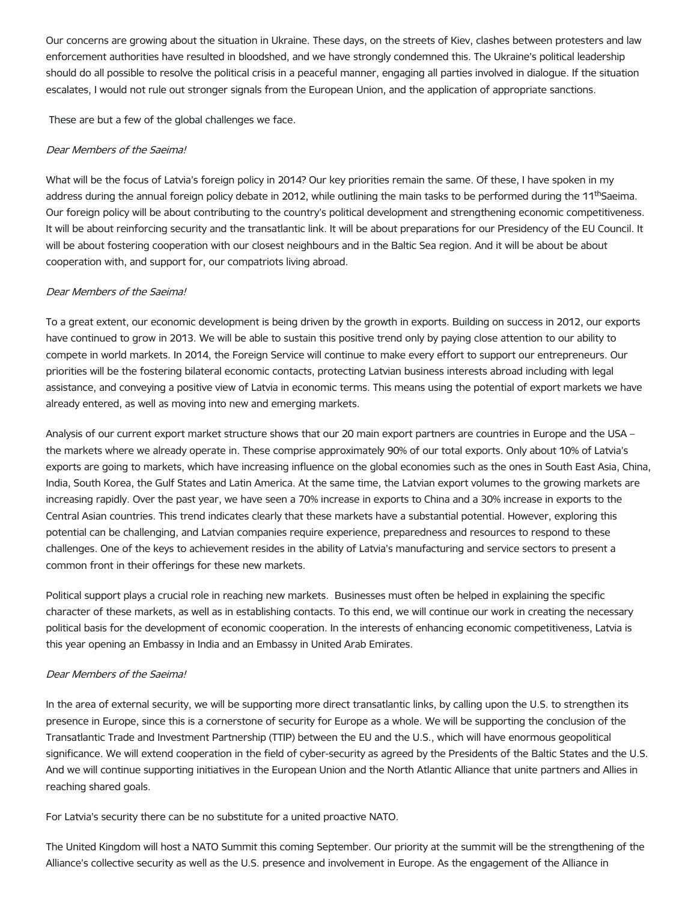Our concerns are growing about the situation in Ukraine. These days, on the streets of Kiev, clashes between protesters and law enforcement authorities have resulted in bloodshed, and we have strongly condemned this. The Ukraine's political leadership should do all possible to resolve the political crisis in a peaceful manner, engaging all parties involved in dialogue. If the situation escalates, I would not rule out stronger signals from the European Union, and the application of appropriate sanctions.

These are but a few of the global challenges we face.

#### Dear Members of the Saeima!

What will be the focus of Latvia's foreign policy in 2014? Our key priorities remain the same. Of these, I have spoken in my address during the annual foreign policy debate in 2012, while outlining the main tasks to be performed during the 11<sup>th</sup>Saeima. Our foreign policy will be about contributing to the country's political development and strengthening economic competitiveness. It will be about reinforcing security and the transatlantic link. It will be about preparations for our Presidency of the EU Council. It will be about fostering cooperation with our closest neighbours and in the Baltic Sea region. And it will be about be about cooperation with, and support for, our compatriots living abroad.

#### Dear Members of the Saeima!

To a great extent, our economic development is being driven by the growth in exports. Building on success in 2012, our exports have continued to grow in 2013. We will be able to sustain this positive trend only by paying close attention to our ability to compete in world markets. In 2014, the Foreign Service will continue to make every effort to support our entrepreneurs. Our priorities will be the fostering bilateral economic contacts, protecting Latvian business interests abroad including with legal assistance, and conveying a positive view of Latvia in economic terms. This means using the potential of export markets we have already entered, as well as moving into new and emerging markets.

Analysis of our current export market structure shows that our 20 main export partners are countries in Europe and the USA – the markets where we already operate in. These comprise approximately 90% of our total exports. Only about 10% of Latvia's exports are going to markets, which have increasing influence on the global economies such as the ones in South East Asia, China, India, South Korea, the Gulf States and Latin America. At the same time, the Latvian export volumes to the growing markets are increasing rapidly. Over the past year, we have seen a 70% increase in exports to China and a 30% increase in exports to the Central Asian countries. This trend indicates clearly that these markets have a substantial potential. However, exploring this potential can be challenging, and Latvian companies require experience, preparedness and resources to respond to these challenges. One of the keys to achievement resides in the ability of Latvia's manufacturing and service sectors to present a common front in their offerings for these new markets.

Political support plays a crucial role in reaching new markets. Businesses must often be helped in explaining the specific character of these markets, as well as in establishing contacts. To this end, we will continue our work in creating the necessary political basis for the development of economic cooperation. In the interests of enhancing economic competitiveness, Latvia is this year opening an Embassy in India and an Embassy in United Arab Emirates.

#### Dear Members of the Saeima!

In the area of external security, we will be supporting more direct transatlantic links, by calling upon the U.S. to strengthen its presence in Europe, since this is a cornerstone of security for Europe as a whole. We will be supporting the conclusion of the Transatlantic Trade and Investment Partnership (TTIP) between the EU and the U.S., which will have enormous geopolitical significance. We will extend cooperation in the field of cyber-security as agreed by the Presidents of the Baltic States and the U.S. And we will continue supporting initiatives in the European Union and the North Atlantic Alliance that unite partners and Allies in reaching shared goals.

For Latvia's security there can be no substitute for a united proactive NATO.

The United Kingdom will host a NATO Summit this coming September. Our priority at the summit will be the strengthening of the Alliance's collective security as well as the U.S. presence and involvement in Europe. As the engagement of the Alliance in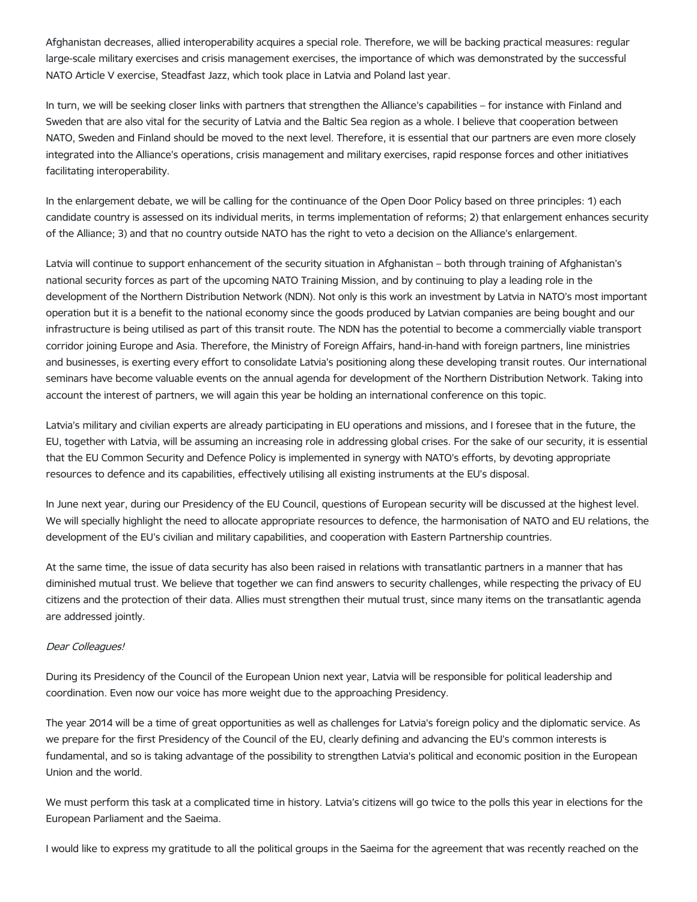Afghanistan decreases, allied interoperability acquires a special role. Therefore, we will be backing practical measures: regular large-scale military exercises and crisis management exercises, the importance of which was demonstrated by the successful NATO Article V exercise, Steadfast Jazz, which took place in Latvia and Poland last year.

In turn, we will be seeking closer links with partners that strengthen the Alliance's capabilities – for instance with Finland and Sweden that are also vital for the security of Latvia and the Baltic Sea region as a whole. I believe that cooperation between NATO, Sweden and Finland should be moved to the next level. Therefore, it is essential that our partners are even more closely integrated into the Alliance's operations, crisis management and military exercises, rapid response forces and other initiatives facilitating interoperability.

In the enlargement debate, we will be calling for the continuance of the Open Door Policy based on three principles: 1) each candidate country is assessed on its individual merits, in terms implementation of reforms; 2) that enlargement enhances security of the Alliance; 3) and that no country outside NATO has the right to veto a decision on the Alliance's enlargement.

Latvia will continue to support enhancement of the security situation in Afghanistan – both through training of Afghanistan's national security forces as part of the upcoming NATO Training Mission, and by continuing to play a leading role in the development of the Northern Distribution Network (NDN). Not only is this work an investment by Latvia in NATO's most important operation but it is a benefit to the national economy since the goods produced by Latvian companies are being bought and our infrastructure is being utilised as part of this transit route. The NDN has the potential to become a commercially viable transport corridor joining Europe and Asia. Therefore, the Ministry of Foreign Affairs, hand-in-hand with foreign partners, line ministries and businesses, is exerting every effort to consolidate Latvia's positioning along these developing transit routes. Our international seminars have become valuable events on the annual agenda for development of the Northern Distribution Network. Taking into account the interest of partners, we will again this year be holding an international conference on this topic.

Latvia's military and civilian experts are already participating in EU operations and missions, and I foresee that in the future, the EU, together with Latvia, will be assuming an increasing role in addressing global crises. For the sake of our security, it is essential that the EU Common Security and Defence Policy is implemented in synergy with NATO's efforts, by devoting appropriate resources to defence and its capabilities, effectively utilising all existing instruments at the EU's disposal.

In June next year, during our Presidency of the EU Council, questions of European security will be discussed at the highest level. We will specially highlight the need to allocate appropriate resources to defence, the harmonisation of NATO and EU relations, the development of the EU's civilian and military capabilities, and cooperation with Eastern Partnership countries.

At the same time, the issue of data security has also been raised in relations with transatlantic partners in a manner that has diminished mutual trust. We believe that together we can find answers to security challenges, while respecting the privacy of EU citizens and the protection of their data. Allies must strengthen their mutual trust, since many items on the transatlantic agenda are addressed jointly.

### Dear Colleagues!

During its Presidency of the Council of the European Union next year, Latvia will be responsible for political leadership and coordination. Even now our voice has more weight due to the approaching Presidency.

The year 2014 will be a time of great opportunities as well as challenges for Latvia's foreign policy and the diplomatic service. As we prepare for the first Presidency of the Council of the EU, clearly defining and advancing the EU's common interests is fundamental, and so is taking advantage of the possibility to strengthen Latvia's political and economic position in the European Union and the world.

We must perform this task at a complicated time in history. Latvia's citizens will go twice to the polls this year in elections for the European Parliament and the Saeima.

I would like to express my gratitude to all the political groups in the Saeima for the agreement that was recently reached on the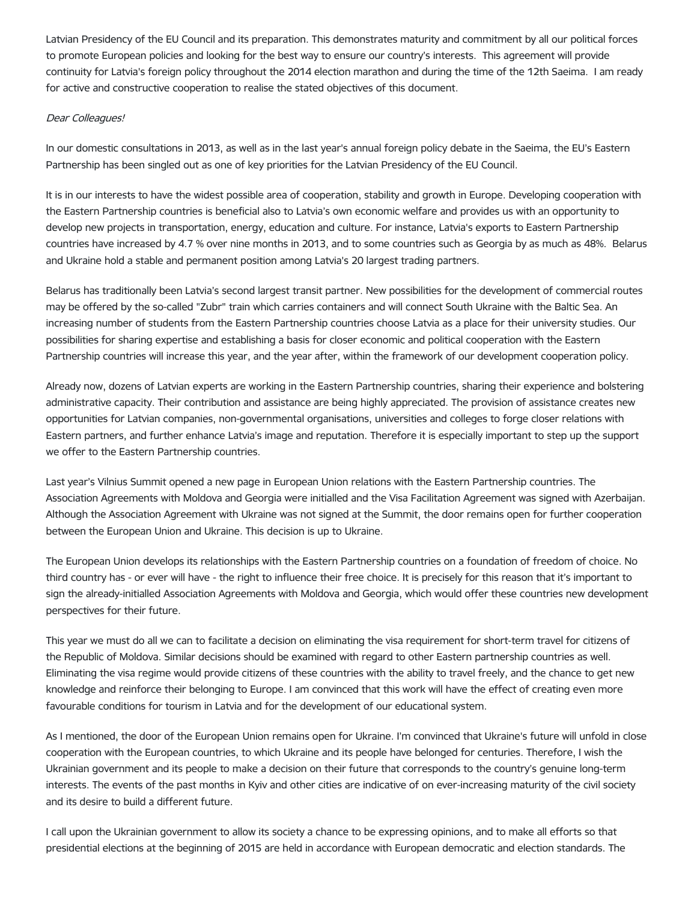Latvian Presidency of the EU Council and its preparation. This demonstrates maturity and commitment by all our political forces to promote European policies and looking for the best way to ensure our country's interests. This agreement will provide continuity for Latvia's foreign policy throughout the 2014 election marathon and during the time of the 12th Saeima. I am ready for active and constructive cooperation to realise the stated objectives of this document.

#### Dear Colleagues!

In our domestic consultations in 2013, as well as in the last year's annual foreign policy debate in the Saeima, the EU's Eastern Partnership has been singled out as one of key priorities for the Latvian Presidency of the EU Council.

It is in our interests to have the widest possible area of cooperation, stability and growth in Europe. Developing cooperation with the Eastern Partnership countries is beneficial also to Latvia's own economic welfare and provides us with an opportunity to develop new projects in transportation, energy, education and culture. For instance, Latvia's exports to Eastern Partnership countries have increased by 4.7 % over nine months in 2013, and to some countries such as Georgia by as much as 48%. Belarus and Ukraine hold a stable and permanent position among Latvia's 20 largest trading partners.

Belarus has traditionally been Latvia's second largest transit partner. New possibilities for the development of commercial routes may be offered by the so-called "Zubr" train which carries containers and will connect South Ukraine with the Baltic Sea. An increasing number of students from the Eastern Partnership countries choose Latvia as a place for their university studies. Our possibilities for sharing expertise and establishing a basis for closer economic and political cooperation with the Eastern Partnership countries will increase this year, and the year after, within the framework of our development cooperation policy.

Already now, dozens of Latvian experts are working in the Eastern Partnership countries, sharing their experience and bolstering administrative capacity. Their contribution and assistance are being highly appreciated. The provision of assistance creates new opportunities for Latvian companies, non-governmental organisations, universities and colleges to forge closer relations with Eastern partners, and further enhance Latvia's image and reputation. Therefore it is especially important to step up the support we offer to the Eastern Partnership countries.

Last year's Vilnius Summit opened a new page in European Union relations with the Eastern Partnership countries. The Association Agreements with Moldova and Georgia were initialled and the Visa Facilitation Agreement was signed with Azerbaijan. Although the Association Agreement with Ukraine was not signed at the Summit, the door remains open for further cooperation between the European Union and Ukraine. This decision is up to Ukraine.

The European Union develops its relationships with the Eastern Partnership countries on a foundation of freedom of choice. No third country has - or ever will have - the right to influence their free choice. It is precisely for this reason that it's important to sign the already-initialled Association Agreements with Moldova and Georgia, which would offer these countries new development perspectives for their future.

This year we must do all we can to facilitate a decision on eliminating the visa requirement for short-term travel for citizens of the Republic of Moldova. Similar decisions should be examined with regard to other Eastern partnership countries as well. Eliminating the visa regime would provide citizens of these countries with the ability to travel freely, and the chance to get new knowledge and reinforce their belonging to Europe. I am convinced that this work will have the effect of creating even more favourable conditions for tourism in Latvia and for the development of our educational system.

As I mentioned, the door of the European Union remains open for Ukraine. I'm convinced that Ukraine's future will unfold in close cooperation with the European countries, to which Ukraine and its people have belonged for centuries. Therefore, I wish the Ukrainian government and its people to make a decision on their future that corresponds to the country's genuine long-term interests. The events of the past months in Kyiv and other cities are indicative of on ever-increasing maturity of the civil society and its desire to build a different future.

I call upon the Ukrainian government to allow its society a chance to be expressing opinions, and to make all efforts so that presidential elections at the beginning of 2015 are held in accordance with European democratic and election standards. The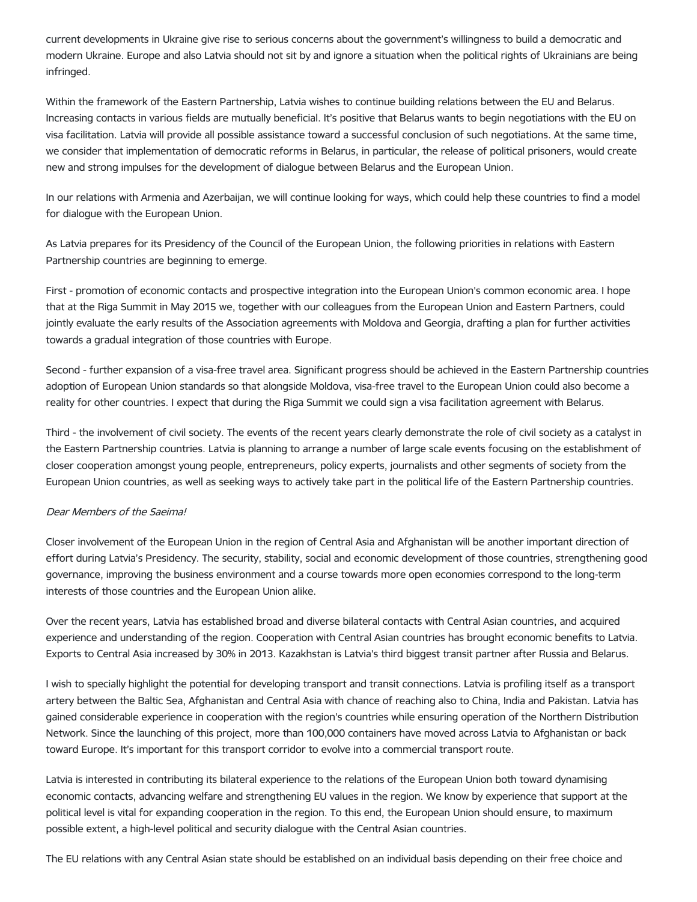current developments in Ukraine give rise to serious concerns about the government's willingness to build a democratic and modern Ukraine. Europe and also Latvia should not sit by and ignore a situation when the political rights of Ukrainians are being infringed.

Within the framework of the Eastern Partnership, Latvia wishes to continue building relations between the EU and Belarus. Increasing contacts in various fields are mutually beneficial. It's positive that Belarus wants to begin negotiations with the EU on visa facilitation. Latvia will provide all possible assistance toward a successful conclusion of such negotiations. At the same time, we consider that implementation of democratic reforms in Belarus, in particular, the release of political prisoners, would create new and strong impulses for the development of dialogue between Belarus and the European Union.

In our relations with Armenia and Azerbaijan, we will continue looking for ways, which could help these countries to find a model for dialogue with the European Union.

As Latvia prepares for its Presidency of the Council of the European Union, the following priorities in relations with Eastern Partnership countries are beginning to emerge.

First - promotion of economic contacts and prospective integration into the European Union's common economic area. I hope that at the Riga Summit in May 2015 we, together with our colleagues from the European Union and Eastern Partners, could jointly evaluate the early results of the Association agreements with Moldova and Georgia, drafting a plan for further activities towards a gradual integration of those countries with Europe.

Second - further expansion of a visa-free travel area. Significant progress should be achieved in the Eastern Partnership countries adoption of European Union standards so that alongside Moldova, visa-free travel to the European Union could also become a reality for other countries. I expect that during the Riga Summit we could sign a visa facilitation agreement with Belarus.

Third - the involvement of civil society. The events of the recent years clearly demonstrate the role of civil society as a catalyst in the Eastern Partnership countries. Latvia is planning to arrange a number of large scale events focusing on the establishment of closer cooperation amongst young people, entrepreneurs, policy experts, journalists and other segments of society from the European Union countries, as well as seeking ways to actively take part in the political life of the Eastern Partnership countries.

#### Dear Members of the Saeima!

Closer involvement of the European Union in the region of Central Asia and Afghanistan will be another important direction of effort during Latvia's Presidency. The security, stability, social and economic development of those countries, strengthening good governance, improving the business environment and a course towards more open economies correspond to the long-term interests of those countries and the European Union alike.

Over the recent years, Latvia has established broad and diverse bilateral contacts with Central Asian countries, and acquired experience and understanding of the region. Cooperation with Central Asian countries has brought economic benefits to Latvia. Exports to Central Asia increased by 30% in 2013. Kazakhstan is Latvia's third biggest transit partner after Russia and Belarus.

I wish to specially highlight the potential for developing transport and transit connections. Latvia is profiling itself as a transport artery between the Baltic Sea, Afghanistan and Central Asia with chance of reaching also to China, India and Pakistan. Latvia has gained considerable experience in cooperation with the region's countries while ensuring operation of the Northern Distribution Network. Since the launching of this project, more than 100,000 containers have moved across Latvia to Afghanistan or back toward Europe. It's important for this transport corridor to evolve into a commercial transport route.

Latvia is interested in contributing its bilateral experience to the relations of the European Union both toward dynamising economic contacts, advancing welfare and strengthening EU values in the region. We know by experience that support at the political level is vital for expanding cooperation in the region. To this end, the European Union should ensure, to maximum possible extent, a high-level political and security dialogue with the Central Asian countries.

The EU relations with any Central Asian state should be established on an individual basis depending on their free choice and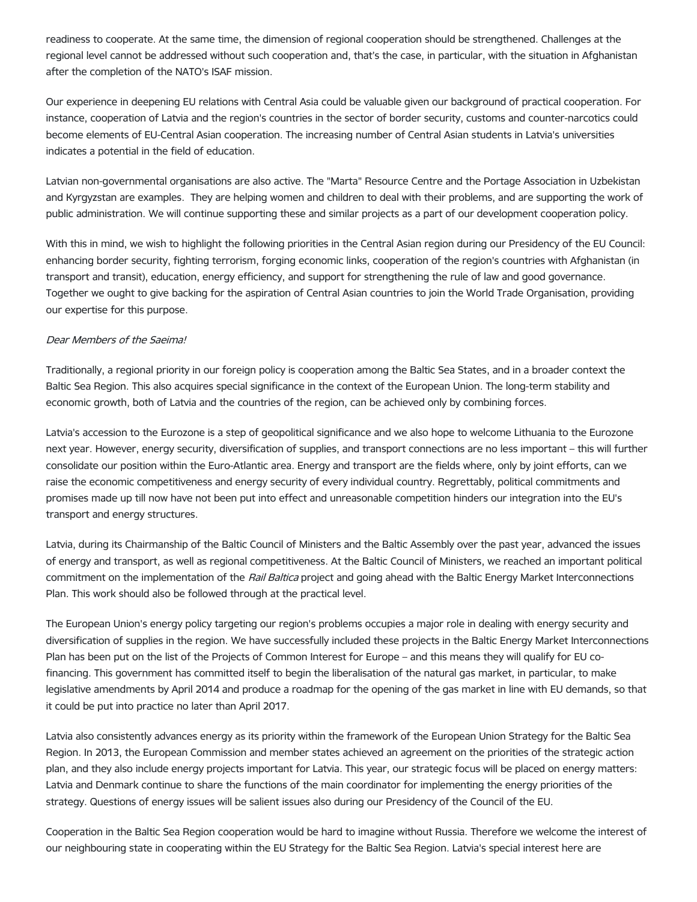readiness to cooperate. At the same time, the dimension of regional cooperation should be strengthened. Challenges at the regional level cannot be addressed without such cooperation and, that's the case, in particular, with the situation in Afghanistan after the completion of the NATO's ISAF mission.

Our experience in deepening EU relations with Central Asia could be valuable given our background of practical cooperation. For instance, cooperation of Latvia and the region's countries in the sector of border security, customs and counter-narcotics could become elements of EU-Central Asian cooperation. The increasing number of Central Asian students in Latvia's universities indicates a potential in the field of education.

Latvian non-governmental organisations are also active. The "Marta" Resource Centre and the Portage Association in Uzbekistan and Kyrgyzstan are examples. They are helping women and children to deal with their problems, and are supporting the work of public administration. We will continue supporting these and similar projects as a part of our development cooperation policy.

With this in mind, we wish to highlight the following priorities in the Central Asian region during our Presidency of the EU Council: enhancing border security, fighting terrorism, forging economic links, cooperation of the region's countries with Afghanistan (in transport and transit), education, energy efficiency, and support for strengthening the rule of law and good governance. Together we ought to give backing for the aspiration of Central Asian countries to join the World Trade Organisation, providing our expertise for this purpose.

#### Dear Members of the Saeima!

Traditionally, a regional priority in our foreign policy is cooperation among the Baltic Sea States, and in a broader context the Baltic Sea Region. This also acquires special significance in the context of the European Union. The long-term stability and economic growth, both of Latvia and the countries of the region, can be achieved only by combining forces.

Latvia's accession to the Eurozone is a step of geopolitical significance and we also hope to welcome Lithuania to the Eurozone next year. However, energy security, diversification of supplies, and transport connections are no less important – this will further consolidate our position within the Euro-Atlantic area. Energy and transport are the fields where, only by joint efforts, can we raise the economic competitiveness and energy security of every individual country. Regrettably, political commitments and promises made up till now have not been put into effect and unreasonable competition hinders our integration into the EU's transport and energy structures.

Latvia, during its Chairmanship of the Baltic Council of Ministers and the Baltic Assembly over the past year, advanced the issues of energy and transport, as well as regional competitiveness. At the Baltic Council of Ministers, we reached an important political commitment on the implementation of the *Rail Baltica* project and going ahead with the Baltic Energy Market Interconnections Plan. This work should also be followed through at the practical level.

The European Union's energy policy targeting our region's problems occupies a major role in dealing with energy security and diversification of supplies in the region. We have successfully included these projects in the Baltic Energy Market Interconnections Plan has been put on the list of the Projects of Common Interest for Europe – and this means they will qualify for EU cofinancing. This government has committed itself to begin the liberalisation of the natural gas market, in particular, to make legislative amendments by April 2014 and produce a roadmap for the opening of the gas market in line with EU demands, so that it could be put into practice no later than April 2017.

Latvia also consistently advances energy as its priority within the framework of the European Union Strategy for the Baltic Sea Region. In 2013, the European Commission and member states achieved an agreement on the priorities of the strategic action plan, and they also include energy projects important for Latvia. This year, our strategic focus will be placed on energy matters: Latvia and Denmark continue to share the functions of the main coordinator for implementing the energy priorities of the strategy. Questions of energy issues will be salient issues also during our Presidency of the Council of the EU.

Cooperation in the Baltic Sea Region cooperation would be hard to imagine without Russia. Therefore we welcome the interest of our neighbouring state in cooperating within the EU Strategy for the Baltic Sea Region. Latvia's special interest here are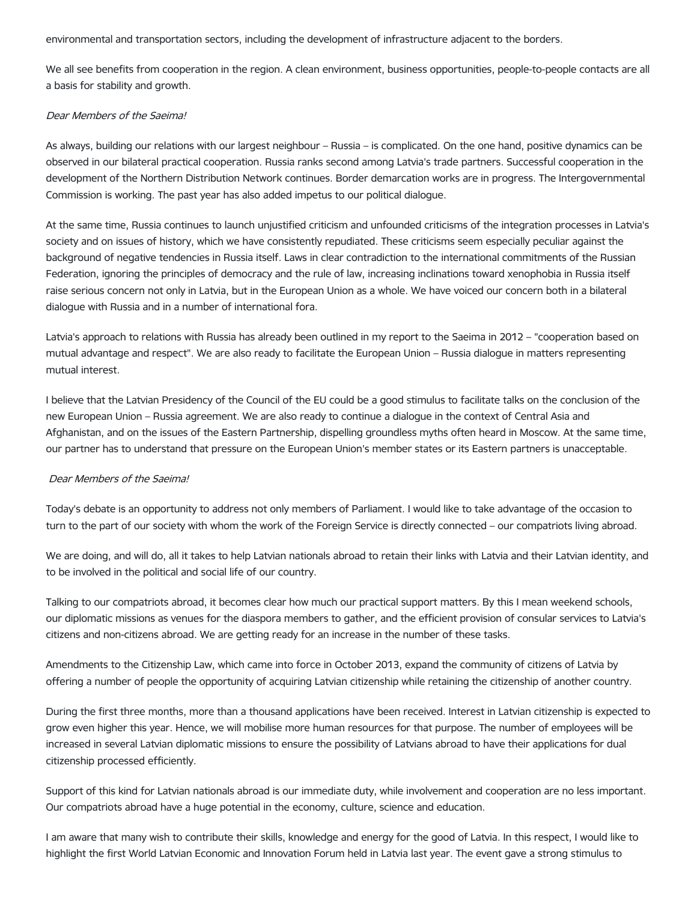environmental and transportation sectors, including the development of infrastructure adjacent to the borders.

We all see benefits from cooperation in the region. A clean environment, business opportunities, people-to-people contacts are all a basis for stability and growth.

#### Dear Members of the Saeima!

As always, building our relations with our largest neighbour – Russia – is complicated. On the one hand, positive dynamics can be observed in our bilateral practical cooperation. Russia ranks second among Latvia's trade partners. Successful cooperation in the development of the Northern Distribution Network continues. Border demarcation works are in progress. The Intergovernmental Commission is working. The past year has also added impetus to our political dialogue.

At the same time, Russia continues to launch unjustified criticism and unfounded criticisms of the integration processes in Latvia's society and on issues of history, which we have consistently repudiated. These criticisms seem especially peculiar against the background of negative tendencies in Russia itself. Laws in clear contradiction to the international commitments of the Russian Federation, ignoring the principles of democracy and the rule of law, increasing inclinations toward xenophobia in Russia itself raise serious concern not only in Latvia, but in the European Union as a whole. We have voiced our concern both in a bilateral dialogue with Russia and in a number of international fora.

Latvia's approach to relations with Russia has already been outlined in my report to the Saeima in 2012 – "cooperation based on mutual advantage and respect". We are also ready to facilitate the European Union – Russia dialogue in matters representing mutual interest.

I believe that the Latvian Presidency of the Council of the EU could be a good stimulus to facilitate talks on the conclusion of the new European Union – Russia agreement. We are also ready to continue a dialogue in the context of Central Asia and Afghanistan, and on the issues of the Eastern Partnership, dispelling groundless myths often heard in Moscow. At the same time, our partner has to understand that pressure on the European Union's member states or its Eastern partners is unacceptable.

#### Dear Members of the Saeima!

Today's debate is an opportunity to address not only members of Parliament. I would like to take advantage of the occasion to turn to the part of our society with whom the work of the Foreign Service is directly connected – our compatriots living abroad.

We are doing, and will do, all it takes to help Latvian nationals abroad to retain their links with Latvia and their Latvian identity, and to be involved in the political and social life of our country.

Talking to our compatriots abroad, it becomes clear how much our practical support matters. By this I mean weekend schools, our diplomatic missions as venues for the diaspora members to gather, and the efficient provision of consular services to Latvia's citizens and non-citizens abroad. We are getting ready for an increase in the number of these tasks.

Amendments to the Citizenship Law, which came into force in October 2013, expand the community of citizens of Latvia by offering a number of people the opportunity of acquiring Latvian citizenship while retaining the citizenship of another country.

During the first three months, more than a thousand applications have been received. Interest in Latvian citizenship is expected to grow even higher this year. Hence, we will mobilise more human resources for that purpose. The number of employees will be increased in several Latvian diplomatic missions to ensure the possibility of Latvians abroad to have their applications for dual citizenship processed efficiently.

Support of this kind for Latvian nationals abroad is our immediate duty, while involvement and cooperation are no less important. Our compatriots abroad have a huge potential in the economy, culture, science and education.

I am aware that many wish to contribute their skills, knowledge and energy for the good of Latvia. In this respect, I would like to highlight the first World Latvian Economic and Innovation Forum held in Latvia last year. The event gave a strong stimulus to